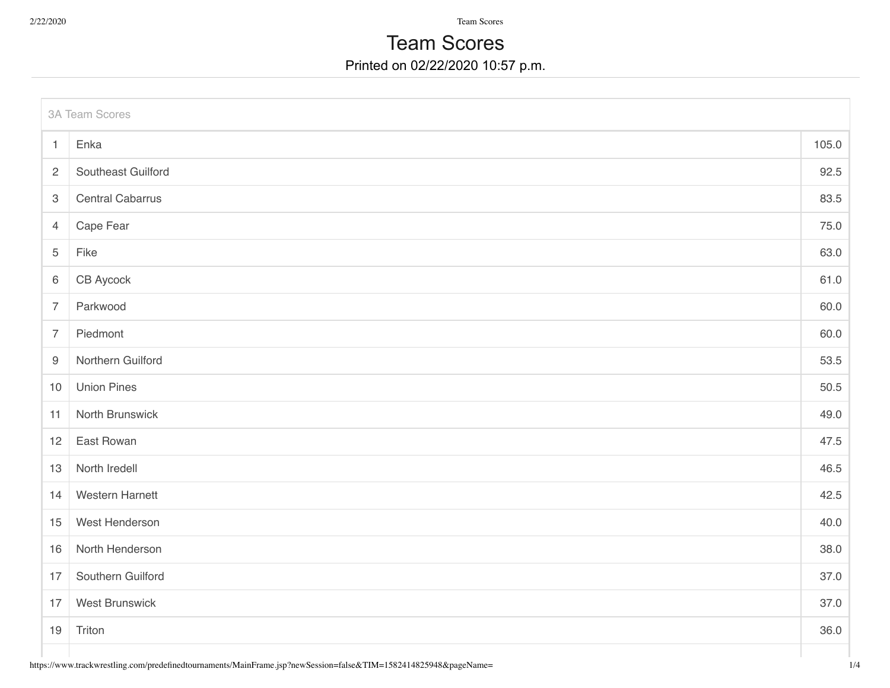2/22/2020 Team Scores

## Printed on 02/22/2020 10:57 p.m. Team Scores

| <b>3A Team Scores</b> |                         |       |  |  |
|-----------------------|-------------------------|-------|--|--|
| $\overline{1}$        | Enka                    | 105.0 |  |  |
| $\overline{2}$        | Southeast Guilford      | 92.5  |  |  |
| $\mathbf 3$           | <b>Central Cabarrus</b> | 83.5  |  |  |
| $\overline{4}$        | Cape Fear               | 75.0  |  |  |
| 5                     | Fike                    | 63.0  |  |  |
| $\,6\,$               | CB Aycock               | 61.0  |  |  |
| $\overline{7}$        | Parkwood                | 60.0  |  |  |
| $\overline{7}$        | Piedmont                | 60.0  |  |  |
| $9\,$                 | Northern Guilford       | 53.5  |  |  |
| $10$                  | <b>Union Pines</b>      | 50.5  |  |  |
| 11                    | North Brunswick         | 49.0  |  |  |
| 12                    | East Rowan              | 47.5  |  |  |
| 13                    | North Iredell           | 46.5  |  |  |
| 14                    | <b>Western Harnett</b>  | 42.5  |  |  |
| 15                    | West Henderson          | 40.0  |  |  |
| 16                    | North Henderson         | 38.0  |  |  |
| 17                    | Southern Guilford       | 37.0  |  |  |
| 17                    | <b>West Brunswick</b>   | 37.0  |  |  |
| 19                    | Triton                  | 36.0  |  |  |
|                       |                         |       |  |  |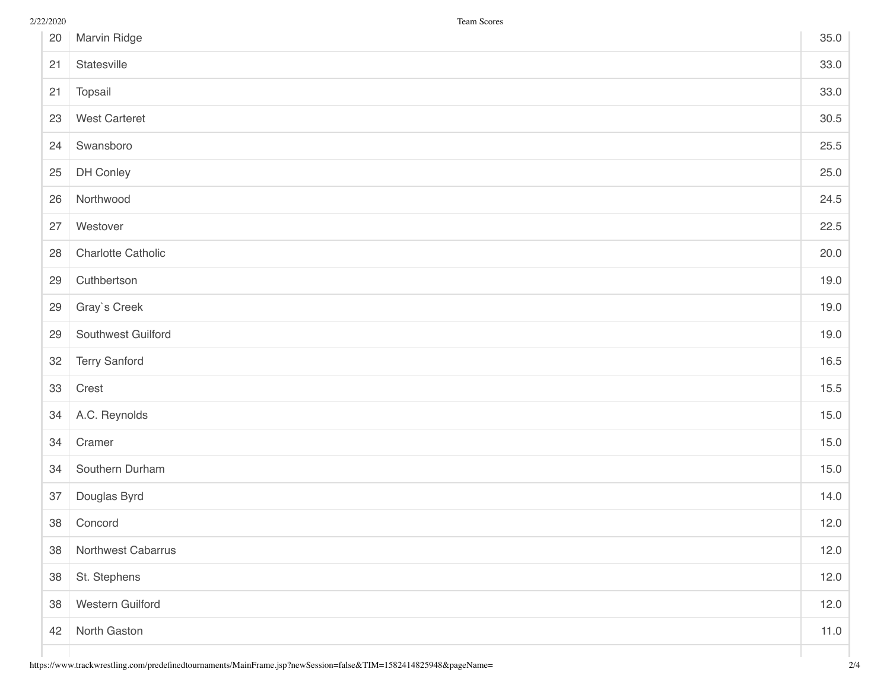| 20 | Marvin Ridge         | 35.0 |
|----|----------------------|------|
| 21 | Statesville          | 33.0 |
| 21 | Topsail              | 33.0 |
| 23 | <b>West Carteret</b> | 30.5 |
| 24 | Swansboro            | 25.5 |
| 25 | DH Conley            | 25.0 |
| 26 | Northwood            | 24.5 |
| 27 | Westover             | 22.5 |
| 28 | Charlotte Catholic   | 20.0 |
| 29 | Cuthbertson          | 19.0 |
| 29 | Gray's Creek         | 19.0 |
| 29 | Southwest Guilford   | 19.0 |
| 32 | <b>Terry Sanford</b> | 16.5 |
| 33 | Crest                | 15.5 |
| 34 | A.C. Reynolds        | 15.0 |
| 34 | Cramer               | 15.0 |
| 34 | Southern Durham      | 15.0 |
| 37 | Douglas Byrd         | 14.0 |
| 38 | Concord              | 12.0 |
| 38 | Northwest Cabarrus   | 12.0 |
| 38 | St. Stephens         | 12.0 |
| 38 | Western Guilford     | 12.0 |
| 42 | North Gaston         | 11.0 |
|    |                      |      |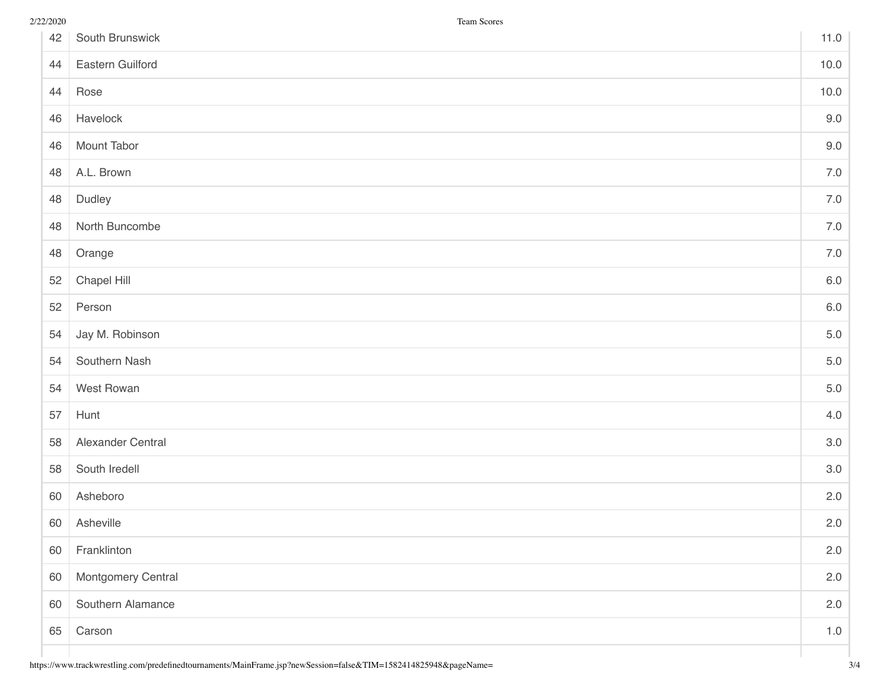| 42 | South Brunswick    | 11.0    |
|----|--------------------|---------|
| 44 | Eastern Guilford   | 10.0    |
| 44 | Rose               | 10.0    |
| 46 | Havelock           | 9.0     |
| 46 | Mount Tabor        | 9.0     |
| 48 | A.L. Brown         | $7.0\,$ |
| 48 | Dudley             | 7.0     |
| 48 | North Buncombe     | 7.0     |
| 48 | Orange             | 7.0     |
| 52 | Chapel Hill        | $6.0\,$ |
| 52 | Person             | $6.0\,$ |
| 54 | Jay M. Robinson    | $5.0\,$ |
| 54 | Southern Nash      | $5.0$   |
| 54 | West Rowan         | $5.0$   |
| 57 | Hunt               | 4.0     |
| 58 | Alexander Central  | 3.0     |
| 58 | South Iredell      | 3.0     |
| 60 | Asheboro           | 2.0     |
| 60 | Asheville          | 2.0     |
| 60 | Franklinton        | 2.0     |
| 60 | Montgomery Central | 2.0     |
| 60 | Southern Alamance  | 2.0     |
| 65 | Carson             | $1.0$   |
|    |                    |         |